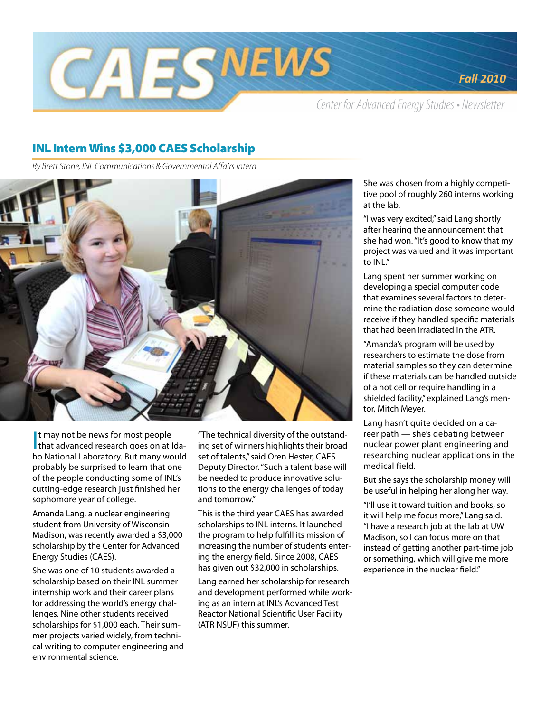

Center for Advanced Energy Studies • Newsletter

# INL Intern Wins \$3,000 CAES Scholarship

*By Brett Stone, INL Communications & Governmental Affairs intern*



It may not be news for most people<br>I that advanced research goes on at Idat may not be news for most people ho National Laboratory. But many would probably be surprised to learn that one of the people conducting some of INL's cutting-edge research just finished her sophomore year of college.

Amanda Lang, a nuclear engineering student from University of Wisconsin-Madison, was recently awarded a \$3,000 scholarship by the Center for Advanced Energy Studies (CAES).

She was one of 10 students awarded a scholarship based on their INL summer internship work and their career plans for addressing the world's energy challenges. Nine other students received scholarships for \$1,000 each. Their summer projects varied widely, from technical writing to computer engineering and environmental science.

"The technical diversity of the outstanding set of winners highlights their broad set of talents," said Oren Hester, CAES Deputy Director. "Such a talent base will be needed to produce innovative solutions to the energy challenges of today and tomorrow."

This is the third year CAES has awarded scholarships to INL interns. It launched the program to help fulfill its mission of increasing the number of students entering the energy field. Since 2008, CAES has given out \$32,000 in scholarships.

Lang earned her scholarship for research and development performed while working as an intern at INL's Advanced Test Reactor National Scientific User Facility (ATR NSUF) this summer.

She was chosen from a highly competitive pool of roughly 260 interns working at the lab.

*Fall 2010*

"I was very excited," said Lang shortly after hearing the announcement that she had won. "It's good to know that my project was valued and it was important to INL."

Lang spent her summer working on developing a special computer code that examines several factors to determine the radiation dose someone would receive if they handled specific materials that had been irradiated in the ATR.

"Amanda's program will be used by researchers to estimate the dose from material samples so they can determine if these materials can be handled outside of a hot cell or require handling in a shielded facility," explained Lang's mentor, Mitch Meyer.

Lang hasn't quite decided on a career path — she's debating between nuclear power plant engineering and researching nuclear applications in the medical field.

But she says the scholarship money will be useful in helping her along her way.

"I'll use it toward tuition and books, so it will help me focus more," Lang said. "I have a research job at the lab at UW Madison, so I can focus more on that instead of getting another part-time job or something, which will give me more experience in the nuclear field."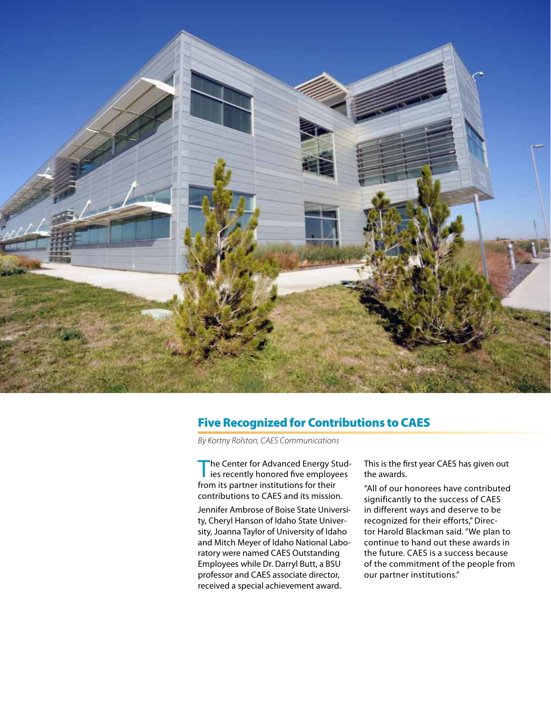

### Five Recognized for Contributions to CAES

*By Kortny Rolston, CAES Communications*

The Center for Advanced Energy Stud-<br>ies recently honored five employees from its partner institutions for their contributions to CAES and its mission.

Jennifer Ambrose of Boise State University, Cheryl Hanson of Idaho State University, Joanna Taylor of University of Idaho and Mitch Meyer of Idaho National Laboratory were named CAES Outstanding Employees while Dr. Darryl Butt, a BSU professor and CAES associate director, received a special achievement award.

This is the first year CAES has given out the awards.

"All of our honorees have contributed significantly to the success of CAES in different ways and deserve to be recognized for their efforts," Director Harold Blackman said. "We plan to continue to hand out these awards in the future. CAES is a success because of the commitment of the people from our partner institutions."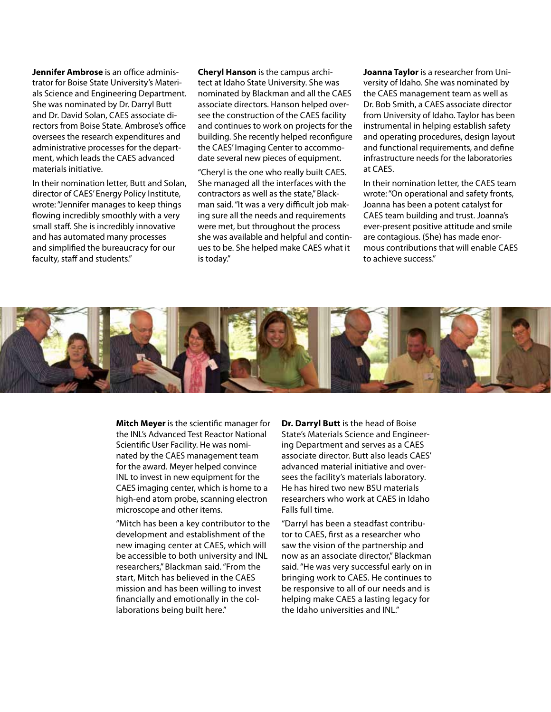**Jennifer Ambrose** is an office administrator for Boise State University's Materials Science and Engineering Department. She was nominated by Dr. Darryl Butt and Dr. David Solan, CAES associate directors from Boise State. Ambrose's office oversees the research expenditures and administrative processes for the department, which leads the CAES advanced materials initiative.

In their nomination letter, Butt and Solan, director of CAES' Energy Policy Institute, wrote: "Jennifer manages to keep things flowing incredibly smoothly with a very small staff. She is incredibly innovative and has automated many processes and simplified the bureaucracy for our faculty, staff and students."

**Cheryl Hanson** is the campus architect at Idaho State University. She was nominated by Blackman and all the CAES associate directors. Hanson helped oversee the construction of the CAES facility and continues to work on projects for the building. She recently helped reconfigure the CAES' Imaging Center to accommodate several new pieces of equipment.

"Cheryl is the one who really built CAES. She managed all the interfaces with the contractors as well as the state," Blackman said. "It was a very difficult job making sure all the needs and requirements were met, but throughout the process she was available and helpful and continues to be. She helped make CAES what it is today."

**Joanna Taylor** is a researcher from University of Idaho. She was nominated by the CAES management team as well as Dr. Bob Smith, a CAES associate director from University of Idaho. Taylor has been instrumental in helping establish safety and operating procedures, design layout and functional requirements, and define infrastructure needs for the laboratories at CAES.

In their nomination letter, the CAES team wrote: "On operational and safety fronts, Joanna has been a potent catalyst for CAES team building and trust. Joanna's ever-present positive attitude and smile are contagious. (She) has made enormous contributions that will enable CAES to achieve success."



**Mitch Meyer** is the scientific manager for the INL's Advanced Test Reactor National Scientific User Facility. He was nominated by the CAES management team for the award. Meyer helped convince INL to invest in new equipment for the CAES imaging center, which is home to a high-end atom probe, scanning electron microscope and other items.

"Mitch has been a key contributor to the development and establishment of the new imaging center at CAES, which will be accessible to both university and INL researchers," Blackman said. "From the start, Mitch has believed in the CAES mission and has been willing to invest financially and emotionally in the collaborations being built here."

**Dr. Darryl Butt** is the head of Boise State's Materials Science and Engineering Department and serves as a CAES associate director. Butt also leads CAES' advanced material initiative and oversees the facility's materials laboratory. He has hired two new BSU materials researchers who work at CAES in Idaho Falls full time.

"Darryl has been a steadfast contributor to CAES, first as a researcher who saw the vision of the partnership and now as an associate director," Blackman said. "He was very successful early on in bringing work to CAES. He continues to be responsive to all of our needs and is helping make CAES a lasting legacy for the Idaho universities and INL."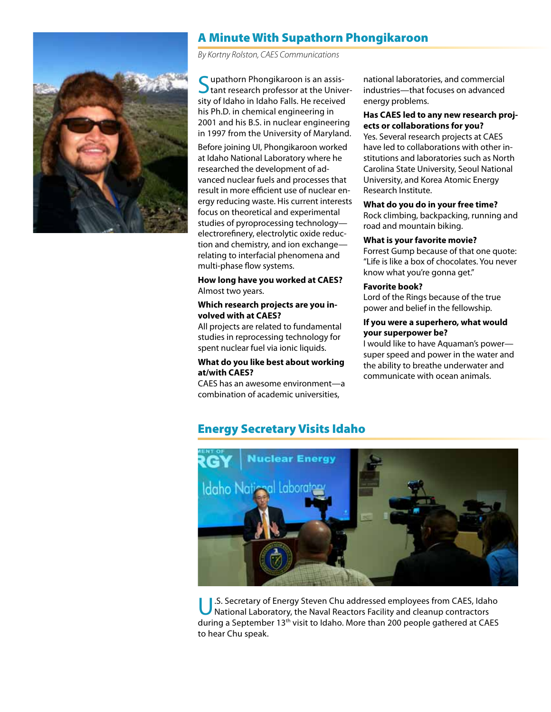

### A Minute With Supathorn Phongikaroon

*By Kortny Rolston, CAES Communications*

Supathorn Phongikaroon is an assis-<br>Stant research professor at the University of Idaho in Idaho Falls. He received his Ph.D. in chemical engineering in 2001 and his B.S. in nuclear engineering in 1997 from the University of Maryland.

Before joining UI, Phongikaroon worked at Idaho National Laboratory where he researched the development of advanced nuclear fuels and processes that result in more efficient use of nuclear energy reducing waste. His current interests focus on theoretical and experimental studies of pyroprocessing technology electrorefinery, electrolytic oxide reduction and chemistry, and ion exchange relating to interfacial phenomena and multi-phase flow systems.

#### **How long have you worked at CAES?**  Almost two years.

### **Which research projects are you involved with at CAES?**

All projects are related to fundamental studies in reprocessing technology for spent nuclear fuel via ionic liquids.

### **What do you like best about working at/with CAES?**

CAES has an awesome environment—a combination of academic universities,

national laboratories, and commercial industries—that focuses on advanced energy problems.

### **Has CAES led to any new research projects or collaborations for you?**

Yes. Several research projects at CAES have led to collaborations with other institutions and laboratories such as North Carolina State University, Seoul National University, and Korea Atomic Energy Research Institute.

### **What do you do in your free time?**

Rock climbing, backpacking, running and road and mountain biking.

### **What is your favorite movie?**

Forrest Gump because of that one quote: "Life is like a box of chocolates. You never know what you're gonna get."

#### **Favorite book?**

Lord of the Rings because of the true power and belief in the fellowship.

### **If you were a superhero, what would your superpower be?**

I would like to have Aquaman's power super speed and power in the water and the ability to breathe underwater and communicate with ocean animals.

### Energy Secretary Visits Idaho



U.S. Secretary of Energy Steven Chu addressed employees from CAES, Idaho National Laboratory, the Naval Reactors Facility and cleanup contractors during a September 13<sup>th</sup> visit to Idaho. More than 200 people gathered at CAES to hear Chu speak.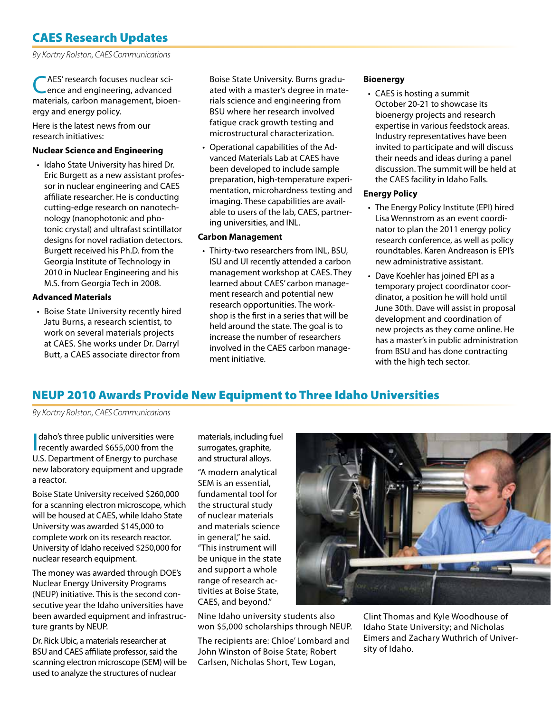## CAES Research Updates

*By Kortny Rolston, CAES Communications*

CAES' research focuses nuclear sci-ence and engineering, advanced materials, carbon management, bioenergy and energy policy.

Here is the latest news from our research initiatives:

### **Nuclear Science and Engineering**

• Idaho State University has hired Dr. Eric Burgett as a new assistant professor in nuclear engineering and CAES affiliate researcher. He is conducting cutting-edge research on nanotechnology (nanophotonic and photonic crystal) and ultrafast scintillator designs for novel radiation detectors. Burgett received his Ph.D. from the Georgia Institute of Technology in 2010 in Nuclear Engineering and his M.S. from Georgia Tech in 2008.

### **Advanced Materials**

• Boise State University recently hired Jatu Burns, a research scientist, to work on several materials projects at CAES. She works under Dr. Darryl Butt, a CAES associate director from

Boise State University. Burns graduated with a master's degree in materials science and engineering from BSU where her research involved fatigue crack growth testing and microstructural characterization.

• Operational capabilities of the Advanced Materials Lab at CAES have been developed to include sample preparation, high-temperature experimentation, microhardness testing and imaging. These capabilities are available to users of the lab, CAES, partnering universities, and INL.

### **Carbon Management**

• Thirty-two researchers from INL, BSU, ISU and UI recently attended a carbon management workshop at CAES. They learned about CAES' carbon management research and potential new research opportunities. The workshop is the first in a series that will be held around the state. The goal is to increase the number of researchers involved in the CAES carbon management initiative.

#### **Bioenergy**

• CAES is hosting a summit October 20-21 to showcase its bioenergy projects and research expertise in various feedstock areas. Industry representatives have been invited to participate and will discuss their needs and ideas during a panel discussion. The summit will be held at the CAES facility in Idaho Falls.

### **Energy Policy**

- The Energy Policy Institute (EPI) hired Lisa Wennstrom as an event coordinator to plan the 2011 energy policy research conference, as well as policy roundtables. Karen Andreason is EPI's new administrative assistant.
- Dave Koehler has joined EPI as a temporary project coordinator coordinator, a position he will hold until June 30th. Dave will assist in proposal development and coordination of new projects as they come online. He has a master's in public administration from BSU and has done contracting with the high tech sector.

### NEUP 2010 Awards Provide New Equipment to Three Idaho Universities

*By Kortny Rolston, CAES Communications*

daho's three public universities were<br>recently awarded \$655,000 from the daho's three public universities were U.S. Department of Energy to purchase new laboratory equipment and upgrade a reactor.

Boise State University received \$260,000 for a scanning electron microscope, which will be housed at CAES, while Idaho State University was awarded \$145,000 to complete work on its research reactor. University of Idaho received \$250,000 for nuclear research equipment.

The money was awarded through DOE's Nuclear Energy University Programs (NEUP) initiative. This is the second consecutive year the Idaho universities have been awarded equipment and infrastructure grants by NEUP.

Dr. Rick Ubic, a materials researcher at BSU and CAES affiliate professor, said the scanning electron microscope (SEM) will be used to analyze the structures of nuclear

materials, including fuel surrogates, graphite, and structural alloys.

"A modern analytical SEM is an essential, fundamental tool for the structural study of nuclear materials and materials science in general," he said. "This instrument will be unique in the state and support a whole range of research activities at Boise State, CAES, and beyond."

Nine Idaho university students also won \$5,000 scholarships through NEUP.

The recipients are: Chloe' Lombard and John Winston of Boise State; Robert Carlsen, Nicholas Short, Tew Logan,



Clint Thomas and Kyle Woodhouse of Idaho State University; and Nicholas Eimers and Zachary Wuthrich of University of Idaho.